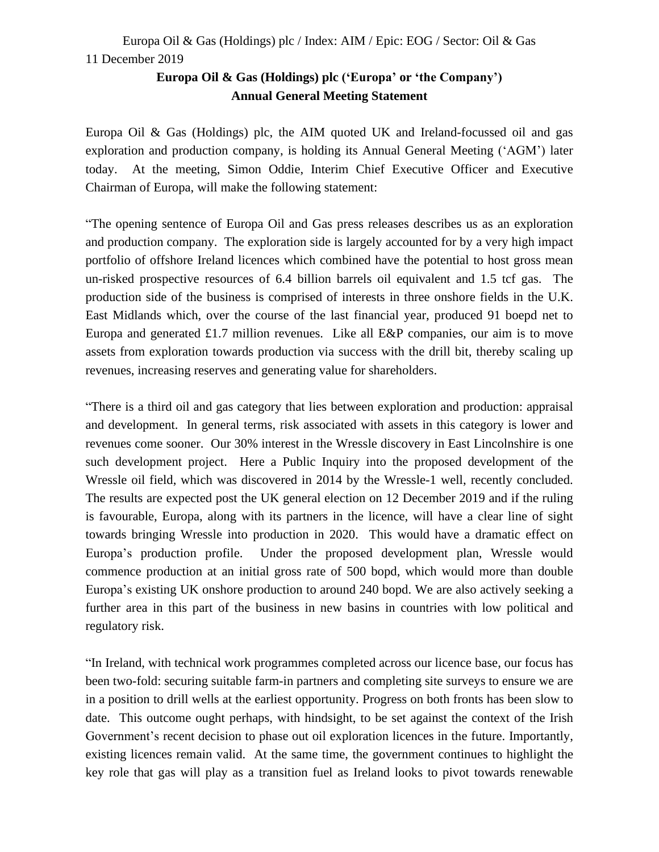# Europa Oil & Gas (Holdings) plc / Index: AIM / Epic: EOG / Sector: Oil & Gas 11 December 2019

## **Europa Oil & Gas (Holdings) plc ('Europa' or 'the Company') Annual General Meeting Statement**

Europa Oil & Gas (Holdings) plc, the AIM quoted UK and Ireland-focussed oil and gas exploration and production company, is holding its Annual General Meeting ('AGM') later today. At the meeting, Simon Oddie, Interim Chief Executive Officer and Executive Chairman of Europa, will make the following statement:

"The opening sentence of Europa Oil and Gas press releases describes us as an exploration and production company. The exploration side is largely accounted for by a very high impact portfolio of offshore Ireland licences which combined have the potential to host gross mean un-risked prospective resources of 6.4 billion barrels oil equivalent and 1.5 tcf gas. The production side of the business is comprised of interests in three onshore fields in the U.K. East Midlands which, over the course of the last financial year, produced 91 boepd net to Europa and generated £1.7 million revenues. Like all  $E\&P$  companies, our aim is to move assets from exploration towards production via success with the drill bit, thereby scaling up revenues, increasing reserves and generating value for shareholders.

"There is a third oil and gas category that lies between exploration and production: appraisal and development. In general terms, risk associated with assets in this category is lower and revenues come sooner. Our 30% interest in the Wressle discovery in East Lincolnshire is one such development project. Here a Public Inquiry into the proposed development of the Wressle oil field, which was discovered in 2014 by the Wressle-1 well, recently concluded. The results are expected post the UK general election on 12 December 2019 and if the ruling is favourable, Europa, along with its partners in the licence, will have a clear line of sight towards bringing Wressle into production in 2020. This would have a dramatic effect on Europa's production profile. Under the proposed development plan, Wressle would commence production at an initial gross rate of 500 bopd, which would more than double Europa's existing UK onshore production to around 240 bopd. We are also actively seeking a further area in this part of the business in new basins in countries with low political and regulatory risk.

"In Ireland, with technical work programmes completed across our licence base, our focus has been two-fold: securing suitable farm-in partners and completing site surveys to ensure we are in a position to drill wells at the earliest opportunity. Progress on both fronts has been slow to date. This outcome ought perhaps, with hindsight, to be set against the context of the Irish Government's recent decision to phase out oil exploration licences in the future. Importantly, existing licences remain valid. At the same time, the government continues to highlight the key role that gas will play as a transition fuel as Ireland looks to pivot towards renewable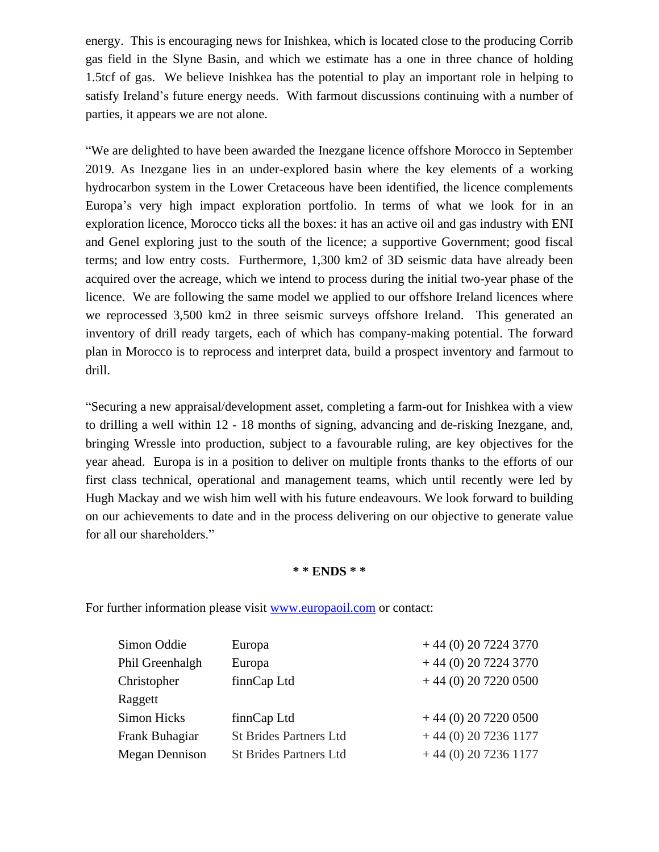energy. This is encouraging news for Inishkea, which is located close to the producing Corrib gas field in the Slyne Basin, and which we estimate has a one in three chance of holding 1.5tcf of gas. We believe Inishkea has the potential to play an important role in helping to satisfy Ireland's future energy needs. With farmout discussions continuing with a number of parties, it appears we are not alone.

"We are delighted to have been awarded the Inezgane licence offshore Morocco in September 2019. As Inezgane lies in an under-explored basin where the key elements of a working hydrocarbon system in the Lower Cretaceous have been identified, the licence complements Europa's very high impact exploration portfolio. In terms of what we look for in an exploration licence, Morocco ticks all the boxes: it has an active oil and gas industry with ENI and Genel exploring just to the south of the licence; a supportive Government; good fiscal terms; and low entry costs. Furthermore, 1,300 km2 of 3D seismic data have already been acquired over the acreage, which we intend to process during the initial two-year phase of the licence. We are following the same model we applied to our offshore Ireland licences where we reprocessed 3,500 km2 in three seismic surveys offshore Ireland. This generated an inventory of drill ready targets, each of which has company-making potential. The forward plan in Morocco is to reprocess and interpret data, build a prospect inventory and farmout to drill.

"Securing a new appraisal/development asset, completing a farm-out for Inishkea with a view to drilling a well within 12 - 18 months of signing, advancing and de-risking Inezgane, and, bringing Wressle into production, subject to a favourable ruling, are key objectives for the year ahead. Europa is in a position to deliver on multiple fronts thanks to the efforts of our first class technical, operational and management teams, which until recently were led by Hugh Mackay and we wish him well with his future endeavours. We look forward to building on our achievements to date and in the process delivering on our objective to generate value for all our shareholders."

#### **\* \* ENDS \* \***

For further information please visit [www.europaoil.com](http://www.europaoil.com/) or contact:

| Simon Oddie        | Europa                        | $+44(0)$ 20 7224 3770  |
|--------------------|-------------------------------|------------------------|
| Phil Greenhalgh    | Europa                        | $+44(0)$ 20 7224 3770  |
| Christopher        | finnCap Ltd                   | $+44$ (0) 20 7220 0500 |
| Raggett            |                               |                        |
| <b>Simon Hicks</b> | finnCap Ltd                   | $+44$ (0) 20 7220 0500 |
| Frank Buhagiar     | <b>St Brides Partners Ltd</b> | $+44(0)$ 20 7236 1177  |
| Megan Dennison     | <b>St Brides Partners Ltd</b> | $+44(0)$ 20 7236 1177  |